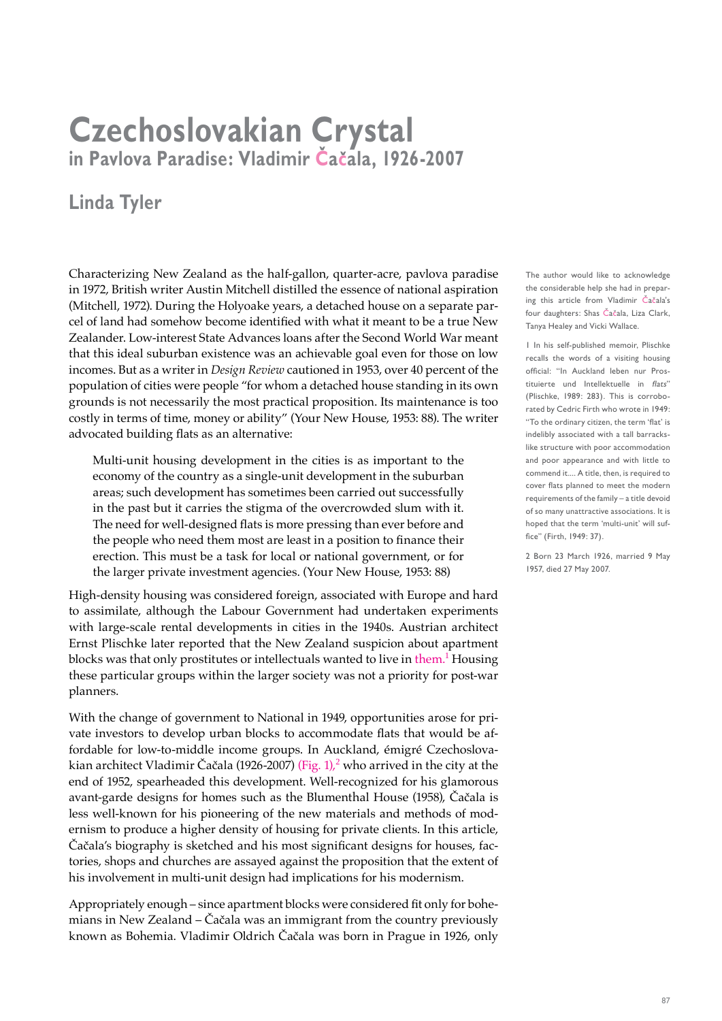## **Czechoslovakian Crystal in Pavlova Paradise: Vladimir Cacala, 1926-2007**

## **Linda Tyler**

Characterizing New Zealand as the half-gallon, quarter-acre, pavlova paradise in 1972, British writer Austin Mitchell distilled the essence of national aspiration (Mitchell, 1972). During the Holyoake years, a detached house on a separate parcel of land had somehow become identified with what it meant to be a true New Zealander. Low-interest State Advances loans after the Second World War meant that this ideal suburban existence was an achievable goal even for those on low incomes. But as a writer in *Design Review* cautioned in 1953, over 40 percent of the population of cities were people "for whom a detached house standing in its own grounds is not necessarily the most practical proposition. Its maintenance is too costly in terms of time, money or ability" (Your New House, 1953: 88). The writer advocated building flats as an alternative:

Multi-unit housing development in the cities is as important to the economy of the country as a single-unit development in the suburban areas; such development has sometimes been carried out successfully in the past but it carries the stigma of the overcrowded slum with it. The need for well-designed flats is more pressing than ever before and the people who need them most are least in a position to finance their erection. This must be a task for local or national government, or for the larger private investment agencies. (Your New House, 1953: 88)

High-density housing was considered foreign, associated with Europe and hard to assimilate, although the Labour Government had undertaken experiments with large-scale rental developments in cities in the 1940s. Austrian architect Ernst Plischke later reported that the New Zealand suspicion about apartment blocks was that only prostitutes or intellectuals wanted to live in them.<sup>1</sup> Housing these particular groups within the larger society was not a priority for post-war planners.

With the change of government to National in 1949, opportunities arose for private investors to develop urban blocks to accommodate flats that would be affordable for low-to-middle income groups. In Auckland, émigré Czechoslovakian architect Vladimir Čačala (1926-2007) (Fig. 1), $^2$  who arrived in the city at the end of 1952, spearheaded this development. Well-recognized for his glamorous avant-garde designs for homes such as the Blumenthal House (1958), Čačala is less well-known for his pioneering of the new materials and methods of modernism to produce a higher density of housing for private clients. In this article, Čačala's biography is sketched and his most significant designs for houses, factories, shops and churches are assayed against the proposition that the extent of his involvement in multi-unit design had implications for his modernism.

Appropriately enough – since apartment blocks were considered fit only for bohemians in New Zealand – Čačala was an immigrant from the country previously known as Bohemia. Vladimir Oldrich Čačala was born in Prague in 1926, only The author would like to acknowledge the considerable help she had in preparing this article from Vladimir Čačala's four daughters: Shas Čačala, Liza Clark, Tanya Healey and Vicki Wallace.

1 In his self-published memoir, Plischke recalls the words of a visiting housing official: "In Auckland leben nur Prostituierte und Intellektuelle in flats" (Plischke, 1989: 283). This is corroborated by Cedric Firth who wrote in 1949: "To the ordinary citizen, the term 'flat' is indelibly associated with a tall barrackslike structure with poor accommodation and poor appearance and with little to commend it.... A title, then, is required to cover flats planned to meet the modern requirements of the family – a title devoid of so many unattractive associations. It is hoped that the term 'multi-unit' will suffice" (Firth, 1949: 37).

2 Born 23 March 1926, married 9 May 1957, died 27 May 2007.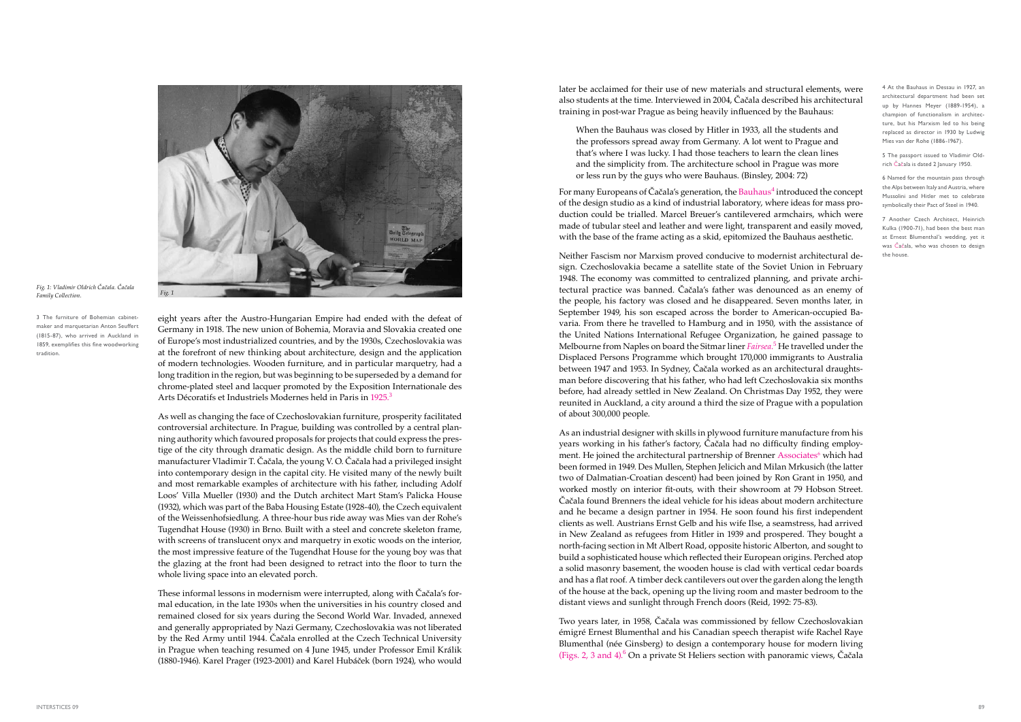later be acclaimed for their use of new materials and structural elements, were also students at the time. Interviewed in 2004, Čačala described his architectural training in post-war Prague as being heavily influenced by the Bauhaus:

When the Bauhaus was closed by Hitler in 1933, all the students and the professors spread away from Germany. A lot went to Prague and that's where I was lucky. I had those teachers to learn the clean lines and the simplicity from. The architecture school in Prague was more or less run by the guys who were Bauhaus. (Binsley, 2004: 72)

For many Europeans of Čačala's generation, the Bauhaus<sup>4</sup> introduced the concept of the design studio as a kind of industrial laboratory, where ideas for mass production could be trialled. Marcel Breuer's cantilevered armchairs, which were made of tubular steel and leather and were light, transparent and easily moved, with the base of the frame acting as a skid, epitomized the Bauhaus aesthetic.

Neither Fascism nor Marxism proved conducive to modernist architectural design. Czechoslovakia became a satellite state of the Soviet Union in February 1948. The economy was committed to centralized planning, and private architectural practice was banned. Čačala's father was denounced as an enemy of the people, his factory was closed and he disappeared. Seven months later, in September 1949, his son escaped across the border to American-occupied Bavaria. From there he travelled to Hamburg and in 1950, with the assistance of the United Nations International Refugee Organization, he gained passage to Melbourne from Naples on board the Sitmar liner *Fairsea*. 5 He travelled under the Displaced Persons Programme which brought 170,000 immigrants to Australia between 1947 and 1953. In Sydney, Čačala worked as an architectural draughtsman before discovering that his father, who had left Czechoslovakia six months before, had already settled in New Zealand. On Christmas Day 1952, they were reunited in Auckland, a city around a third the size of Prague with a population of about 300,000 people.

Two years later, in 1958, Čačala was commissioned by fellow Czechoslovakian émigré Ernest Blumenthal and his Canadian speech therapist wife Rachel Raye Blumenthal (née Ginsberg) to design a contemporary house for modern living (Figs. 2, 3 and 4).<sup>6</sup> On a private St Heliers section with panoramic views, Čačala

eight years after the Austro-Hungarian Empire had ended with the defeat of Germany in 1918. The new union of Bohemia, Moravia and Slovakia created one of Europe's most industrialized countries, and by the 1930s, Czechoslovakia was at the forefront of new thinking about architecture, design and the application of modern technologies. Wooden furniture, and in particular marquetry, had a long tradition in the region, but was beginning to be superseded by a demand for chrome-plated steel and lacquer promoted by the Exposition Internationale des Arts Décoratifs et Industriels Modernes held in Paris in 1925.<sup>3</sup>

> As an industrial designer with skills in plywood furniture manufacture from his years working in his father's factory, Čačala had no difficulty finding employment. He joined the architectural partnership of Brenner Associates<sup>6</sup> which had been formed in 1949. Des Mullen, Stephen Jelicich and Milan Mrkusich (the latter two of Dalmatian-Croatian descent) had been joined by Ron Grant in 1950, and worked mostly on interior fit-outs, with their showroom at 79 Hobson Street. Čačala found Brenners the ideal vehicle for his ideas about modern architecture and he became a design partner in 1954. He soon found his first independent clients as well. Austrians Ernst Gelb and his wife Ilse, a seamstress, had arrived in New Zealand as refugees from Hitler in 1939 and prospered. They bought a north-facing section in Mt Albert Road, opposite historic Alberton, and sought to build a sophisticated house which reflected their European origins. Perched atop a solid masonry basement, the wooden house is clad with vertical cedar boards and has a flat roof. A timber deck cantilevers out over the garden along the length of the house at the back, opening up the living room and master bedroom to the distant views and sunlight through French doors (Reid, 1992: 75-83).

5 The passport issued to Vladimir Oldrich Čačala is dated 2 January 1950.

As well as changing the face of Czechoslovakian furniture, prosperity facilitated controversial architecture. In Prague, building was controlled by a central planning authority which favoured proposals for projects that could express the prestige of the city through dramatic design. As the middle child born to furniture manufacturer Vladimir T. Čačala, the young V. O. Čačala had a privileged insight into contemporary design in the capital city. He visited many of the newly built and most remarkable examples of architecture with his father, including Adolf Loos' Villa Mueller (1930) and the Dutch architect Mart Stam's Palicka House (1932), which was part of the Baba Housing Estate (1928-40), the Czech equivalent of the Weissenhofsiedlung. A three-hour bus ride away was Mies van der Rohe's Tugendhat House (1930) in Brno. Built with a steel and concrete skeleton frame, with screens of translucent onyx and marquetry in exotic woods on the interior, the most impressive feature of the Tugendhat House for the young boy was that the glazing at the front had been designed to retract into the floor to turn the whole living space into an elevated porch.

These informal lessons in modernism were interrupted, along with Čačala's formal education, in the late 1930s when the universities in his country closed and remained closed for six years during the Second World War. Invaded, annexed and generally appropriated by Nazi Germany, Czechoslovakia was not liberated by the Red Army until 1944. Čačala enrolled at the Czech Technical University in Prague when teaching resumed on 4 June 1945, under Professor Emil Králik (1880-1946). Karel Prager (1923-2001) and Karel Hubáček (born 1924), who would



*Fig. 1: Vladimir Oldrich Čačala. Čačala Family Collection. Fig. 1*

3 The furniture of Bohemian cabinetmaker and marquetarian Anton Seuffert (1815-87), who arrived in Auckland in 1859, exemplifies this fine woodworking tradition.

4 At the Bauhaus in Dessau in 1927, an architectural department had been set up by Hannes Meyer (1889-1954), a champion of functionalism in architecture, but his Marxism led to his being replaced as director in 1930 by Ludwig Mies van der Rohe (1886-1967).

6 Named for the mountain pass through the Alps between Italy and Austria, where Mussolini and Hitler met to celebrate symbolically their Pact of Steel in 1940.

7 Another Czech Architect, Heinrich Kulka (1900-71), had been the best man at Ernest Blumenthal's wedding, yet it was Čačala, who was chosen to design the house.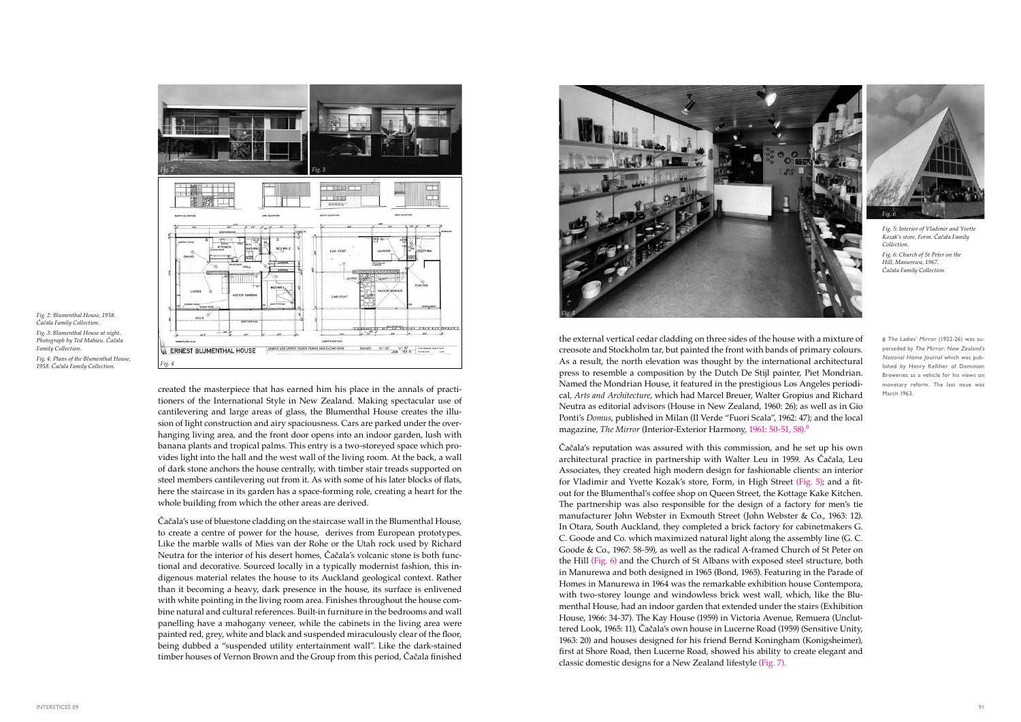the external vertical cedar cladding on three sides of the house with a mixture of creosote and Stockholm tar, but painted the front with bands of primary colours. As a result, the north elevation was thought by the international architectural press to resemble a composition by the Dutch De Stijl painter, Piet Mondrian. Named the Mondrian House, it featured in the prestigious Los Angeles periodical, *Arts and Architecture*, which had Marcel Breuer, Walter Gropius and Richard Neutra as editorial advisors (House in New Zealand, 1960: 26); as well as in Gio Ponti's *Domus*, published in Milan (Il Verde "Fuori Scala", 1962: 47); and the local magazine, *The Mirror* (Interior-Exterior Harmony, 1961: 50-51, 58).<sup>8</sup>

Čačala's reputation was assured with this commission, and he set up his own architectural practice in partnership with Walter Leu in 1959. As Čačala, Leu Associates, they created high modern design for fashionable clients: an interior for Vladimir and Yvette Kozak's store, Form, in High Street (Fig. 5); and a fitout for the Blumenthal's coffee shop on Queen Street, the Kottage Kake Kitchen. The partnership was also responsible for the design of a factory for men's tie manufacturer John Webster in Exmouth Street (John Webster & Co., 1963: 12). In Otara, South Auckland, they completed a brick factory for cabinetmakers G. C. Goode and Co. which maximized natural light along the assembly line (G. C. Goode & Co., 1967: 58-59), as well as the radical A-framed Church of St Peter on the Hill (Fig. 6) and the Church of St Albans with exposed steel structure, both in Manurewa and both designed in 1965 (Bond, 1965). Featuring in the Parade of Homes in Manurewa in 1964 was the remarkable exhibition house Contempora, with two-storey lounge and windowless brick west wall, which, like the Blumenthal House, had an indoor garden that extended under the stairs (Exhibition House, 1966: 34-37). The Kay House (1959) in Victoria Avenue, Remuera (Uncluttered Look, 1965: 11), Čačala's own house in Lucerne Road (1959) (Sensitive Unity, 1963: 20) and houses designed for his friend Bernd Koningham (Konigsheimer), first at Shore Road, then Lucerne Road, showed his ability to create elegant and classic domestic designs for a New Zealand lifestyle (Fig. 7).

created the masterpiece that has earned him his place in the annals of practitioners of the International Style in New Zealand. Making spectacular use of cantilevering and large areas of glass, the Blumenthal House creates the illusion of light construction and airy spaciousness. Cars are parked under the overhanging living area, and the front door opens into an indoor garden, lush with banana plants and tropical palms. This entry is a two-storeyed space which provides light into the hall and the west wall of the living room. At the back, a wall of dark stone anchors the house centrally, with timber stair treads supported on steel members cantilevering out from it. As with some of his later blocks of flats, here the staircase in its garden has a space-forming role, creating a heart for the whole building from which the other areas are derived.

Čačala's use of bluestone cladding on the staircase wall in the Blumenthal House, to create a centre of power for the house, derives from European prototypes. Like the marble walls of Mies van der Rohe or the Utah rock used by Richard Neutra for the interior of his desert homes, Čačala's volcanic stone is both functional and decorative. Sourced locally in a typically modernist fashion, this indigenous material relates the house to its Auckland geological context. Rather than it becoming a heavy, dark presence in the house, its surface is enlivened with white pointing in the living room area. Finishes throughout the house combine natural and cultural references. Built-in furniture in the bedrooms and wall panelling have a mahogany veneer, while the cabinets in the living area were painted red, grey, white and black and suspended miraculously clear of the floor, being dubbed a "suspended utility entertainment wall". Like the dark-stained timber houses of Vernon Brown and the Group from this period, Čačala finished



*Fig. 2: Blumenthal House, 1958. Čačala Family Collection. Fig. 3: Blumenthal House at night. Photograph by Ted Mahieu. Čačala Family Collection. Fig. 4: Plans of the Blumenthal House,* 

*1958. Čačala Family Collection.*



8 The Ladies' Mirror (1922-26) was superseded by The Mirror: New Zealand's National Home Journal which was published by Henry Kelliher of Dominion Breweries as a vehicle for his views on monetary reform. The last issue was March 1963.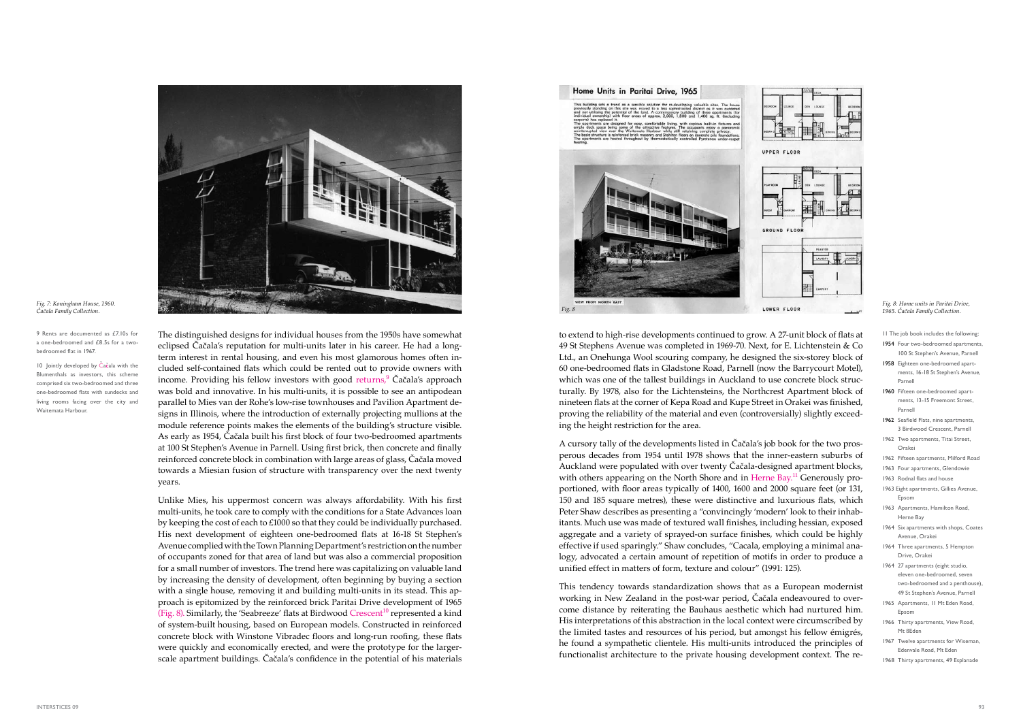

to extend to high-rise developments continued to grow. A 27-unit block of flats at 49 St Stephens Avenue was completed in 1969-70. Next, for E. Lichtenstein & Co Ltd., an Onehunga Wool scouring company, he designed the six-storey block of 60 one-bedroomed flats in Gladstone Road, Parnell (now the Barrycourt Motel), which was one of the tallest buildings in Auckland to use concrete block structurally. By 1978, also for the Lichtensteins, the Northcrest Apartment block of nineteen flats at the corner of Kepa Road and Kupe Street in Orakei was finished, proving the reliability of the material and even (controversially) slightly exceeding the height restriction for the area.

A cursory tally of the developments listed in Čačala's job book for the two prosperous decades from 1954 until 1978 shows that the inner-eastern suburbs of Auckland were populated with over twenty Čačala-designed apartment blocks, with others appearing on the North Shore and in Herne Bay.<sup>11</sup> Generously proportioned, with floor areas typically of 1400, 1600 and 2000 square feet (or 131, 150 and 185 square metres), these were distinctive and luxurious flats, which Peter Shaw describes as presenting a "convincingly 'modern' look to their inhabitants. Much use was made of textured wall finishes, including hessian, exposed aggregate and a variety of sprayed-on surface finishes, which could be highly effective if used sparingly." Shaw concludes, "Cacala, employing a minimal analogy, advocated a certain amount of repetition of motifs in order to produce a unified effect in matters of form, texture and colour" (1991: 125).

This tendency towards standardization shows that as a European modernist working in New Zealand in the post-war period, Čačala endeavoured to overcome distance by reiterating the Bauhaus aesthetic which had nurtured him. His interpretations of this abstraction in the local context were circumscribed by the limited tastes and resources of his period, but amongst his fellow émigrés, he found a sympathetic clientele. His multi-units introduced the principles of functionalist architecture to the private housing development context. The re-

The distinguished designs for individual houses from the 1950s have somewhat eclipsed Čačala's reputation for multi-units later in his career. He had a longterm interest in rental housing, and even his most glamorous homes often included self-contained flats which could be rented out to provide owners with income. Providing his fellow investors with good returns,<sup>9</sup> Čačala's approach was bold and innovative. In his multi-units, it is possible to see an antipodean parallel to Mies van der Rohe's low-rise townhouses and Pavilion Apartment designs in Illinois, where the introduction of externally projecting mullions at the module reference points makes the elements of the building's structure visible. As early as 1954, Čačala built his first block of four two-bedroomed apartments at 100 St Stephen's Avenue in Parnell. Using first brick, then concrete and finally reinforced concrete block in combination with large areas of glass, Čačala moved towards a Miesian fusion of structure with transparency over the next twenty years.

- 1954 Four two-bedroomed apartments 100 St Stephen's Avenue, Parnell
- 1958 Eighteen one-bedroomed apartments, 16-18 St Stephen's Avenue, Parnell
- 1960 Fifteen one-bedroomed apartments, 13-15 Freemont Street, Parnell
- 1962 Seafield Flats, nine apartments, 3 Birdwood Crescent, Parnell
- 1962 Two apartments, Titai Street, Orakei
- 1962 Fifteen apartments, Milford Road
- 1963 Four apartments, Glendowie
- 1963 Rodnal flats and house
- 1963 Eight apartments, Gillies Avenue, Epsom
- 1963 Apartments, Hamilton Road, Herne Bay
- 1964 Six apartments with shops, Coates Avenue, Orakei
- 1964 Three apartments, 5 Hempton Drive, Orakei
- 1964 27 apartments (eight studio, eleven one-bedroomed, seven two-bedroomed and a penthouse), 49 St Stephen's Avenue, Parnell
- 1965 Apartments, 11 Mt Eden Road, Epsom
- 1966 Thirty apartments, View Road, Mt ßEden
- 1967 Twelve apartments for Wiseman, Edenvale Road, Mt Eden
- 1968 Thirty apartments, 49 Esplanade

10 Jointly developed by Čačala with the Blumenthals as investors, this scheme comprised six two-bedroomed and three one-bedroomed flats with sundecks and living rooms facing over the city and Waitemata Harbour.

> Unlike Mies, his uppermost concern was always affordability. With his first multi-units, he took care to comply with the conditions for a State Advances loan by keeping the cost of each to £1000 so that they could be individually purchased. His next development of eighteen one-bedroomed flats at 16-18 St Stephen's Avenue complied with the Town Planning Department's restriction on the number of occupants zoned for that area of land but was also a commercial proposition for a small number of investors. The trend here was capitalizing on valuable land by increasing the density of development, often beginning by buying a section with a single house, removing it and building multi-units in its stead. This approach is epitomized by the reinforced brick Paritai Drive development of 1965 (Fig. 8). Similarly, the 'Seabreeze' flats at Birdwood  $Crescent<sup>10</sup>$  represented a kind of system-built housing, based on European models. Constructed in reinforced concrete block with Winstone Vibradec floors and long-run roofing, these flats were quickly and economically erected, and were the prototype for the largerscale apartment buildings. Čačala's confidence in the potential of his materials





*Čačala Family Collection.*

## *Fig. 8: Home units in Paritai Drive, 1965. Čačala Family Collection.*

11 The job book includes the following:

9 Rents are documented as £7.10s for a one-bedroomed and £8.5s for a twobedroomed flat in 1967.